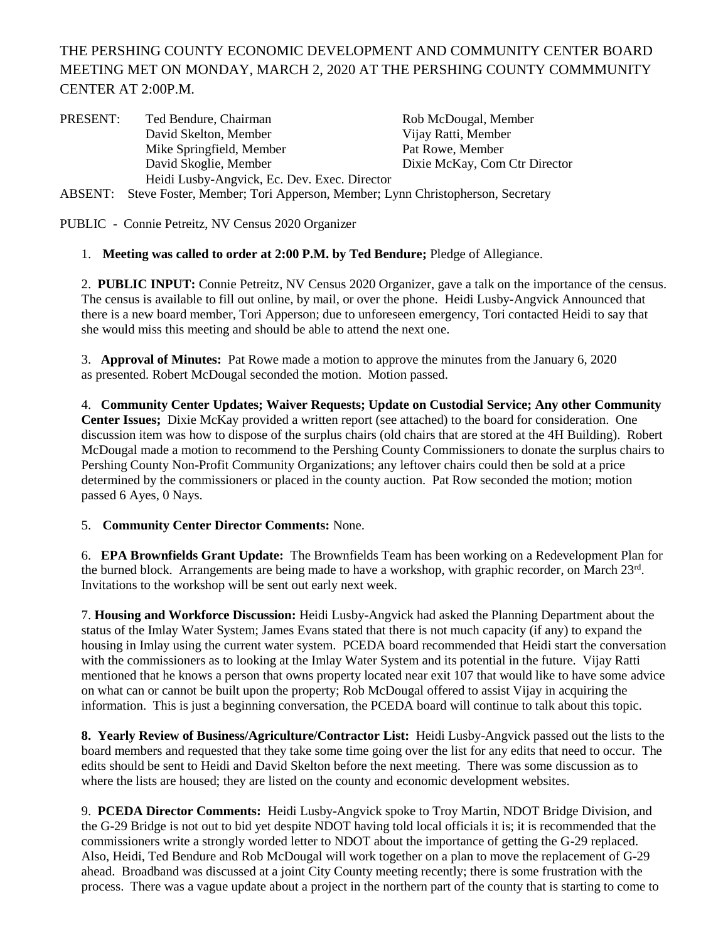## THE PERSHING COUNTY ECONOMIC DEVELOPMENT AND COMMUNITY CENTER BOARD MEETING MET ON MONDAY, MARCH 2, 2020 AT THE PERSHING COUNTY COMMMUNITY CENTER AT 2:00P.M.

| PRESENT: | Ted Bendure, Chairman                                                                | Rob McDougal, Member          |
|----------|--------------------------------------------------------------------------------------|-------------------------------|
|          | David Skelton, Member                                                                | Vijay Ratti, Member           |
|          | Mike Springfield, Member                                                             | Pat Rowe, Member              |
|          | David Skoglie, Member                                                                | Dixie McKay, Com Ctr Director |
|          | Heidi Lusby-Angvick, Ec. Dev. Exec. Director                                         |                               |
|          | ADCENTE. Chara France Maurice Trui, Annouann Maurice I sun Chuisteabanach. Cognataur |                               |

ABSENT: Steve Foster, Member; Tori Apperson, Member; Lynn Christopherson, Secretary

PUBLIC - Connie Petreitz, NV Census 2020 Organizer

## 1. **Meeting was called to order at 2:00 P.M. by Ted Bendure;** Pledge of Allegiance.

2. **PUBLIC INPUT:** Connie Petreitz, NV Census 2020 Organizer, gave a talk on the importance of the census. The census is available to fill out online, by mail, or over the phone. Heidi Lusby-Angvick Announced that there is a new board member, Tori Apperson; due to unforeseen emergency, Tori contacted Heidi to say that she would miss this meeting and should be able to attend the next one.

3. **Approval of Minutes:** Pat Rowe made a motion to approve the minutes from the January 6, 2020 as presented. Robert McDougal seconded the motion. Motion passed.

4. **Community Center Updates; Waiver Requests; Update on Custodial Service; Any other Community Center Issues;** Dixie McKay provided a written report (see attached) to the board for consideration. One discussion item was how to dispose of the surplus chairs (old chairs that are stored at the 4H Building). Robert McDougal made a motion to recommend to the Pershing County Commissioners to donate the surplus chairs to Pershing County Non-Profit Community Organizations; any leftover chairs could then be sold at a price determined by the commissioners or placed in the county auction. Pat Row seconded the motion; motion passed 6 Ayes, 0 Nays.

5. **Community Center Director Comments:** None.

6. **EPA Brownfields Grant Update:** The Brownfields Team has been working on a Redevelopment Plan for the burned block. Arrangements are being made to have a workshop, with graphic recorder, on March 23rd. Invitations to the workshop will be sent out early next week.

7. **Housing and Workforce Discussion:** Heidi Lusby-Angvick had asked the Planning Department about the status of the Imlay Water System; James Evans stated that there is not much capacity (if any) to expand the housing in Imlay using the current water system. PCEDA board recommended that Heidi start the conversation with the commissioners as to looking at the Imlay Water System and its potential in the future. Vijay Ratti mentioned that he knows a person that owns property located near exit 107 that would like to have some advice on what can or cannot be built upon the property; Rob McDougal offered to assist Vijay in acquiring the information. This is just a beginning conversation, the PCEDA board will continue to talk about this topic.

**8. Yearly Review of Business/Agriculture/Contractor List:** Heidi Lusby-Angvick passed out the lists to the board members and requested that they take some time going over the list for any edits that need to occur. The edits should be sent to Heidi and David Skelton before the next meeting. There was some discussion as to where the lists are housed; they are listed on the county and economic development websites.

9. **PCEDA Director Comments:** Heidi Lusby-Angvick spoke to Troy Martin, NDOT Bridge Division, and the G-29 Bridge is not out to bid yet despite NDOT having told local officials it is; it is recommended that the commissioners write a strongly worded letter to NDOT about the importance of getting the G-29 replaced. Also, Heidi, Ted Bendure and Rob McDougal will work together on a plan to move the replacement of G-29 ahead. Broadband was discussed at a joint City County meeting recently; there is some frustration with the process. There was a vague update about a project in the northern part of the county that is starting to come to